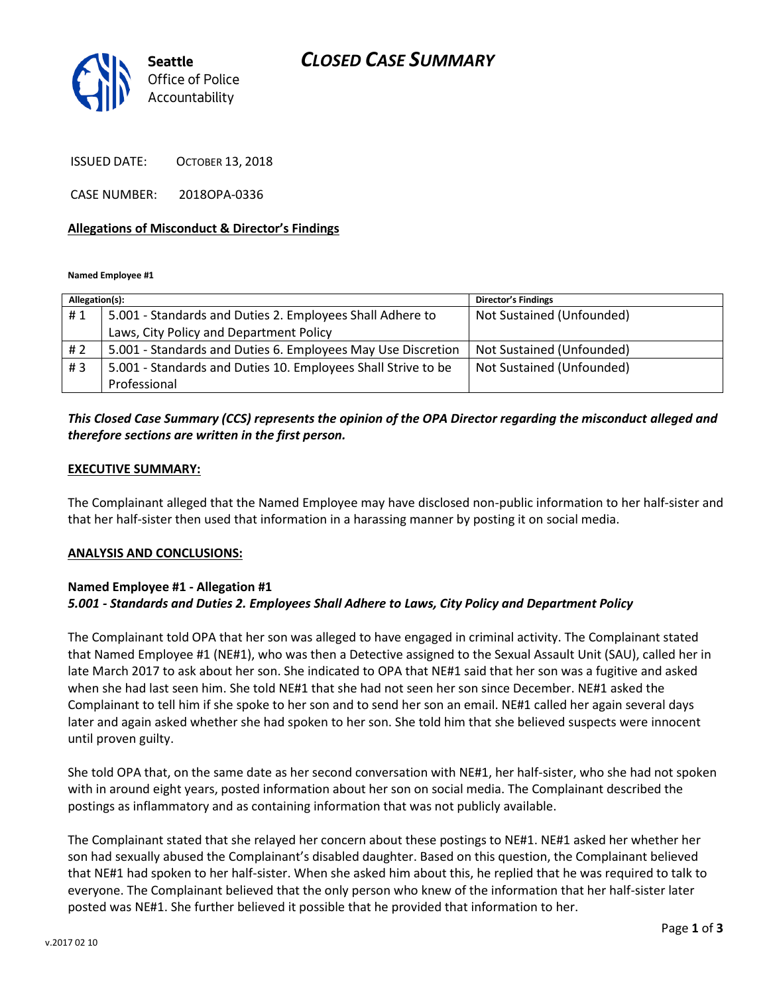## *CLOSED CASE SUMMARY*



ISSUED DATE: OCTOBER 13, 2018

CASE NUMBER: 2018OPA-0336

#### **Allegations of Misconduct & Director's Findings**

**Named Employee #1**

| Allegation(s): |                                                               | Director's Findings       |
|----------------|---------------------------------------------------------------|---------------------------|
| #1             | 5.001 - Standards and Duties 2. Employees Shall Adhere to     | Not Sustained (Unfounded) |
|                | Laws, City Policy and Department Policy                       |                           |
| # 2            | 5.001 - Standards and Duties 6. Employees May Use Discretion  | Not Sustained (Unfounded) |
| #3             | 5.001 - Standards and Duties 10. Employees Shall Strive to be | Not Sustained (Unfounded) |
|                | Professional                                                  |                           |

### *This Closed Case Summary (CCS) represents the opinion of the OPA Director regarding the misconduct alleged and therefore sections are written in the first person.*

#### **EXECUTIVE SUMMARY:**

The Complainant alleged that the Named Employee may have disclosed non-public information to her half-sister and that her half-sister then used that information in a harassing manner by posting it on social media.

#### **ANALYSIS AND CONCLUSIONS:**

#### **Named Employee #1 - Allegation #1** *5.001 - Standards and Duties 2. Employees Shall Adhere to Laws, City Policy and Department Policy*

The Complainant told OPA that her son was alleged to have engaged in criminal activity. The Complainant stated that Named Employee #1 (NE#1), who was then a Detective assigned to the Sexual Assault Unit (SAU), called her in late March 2017 to ask about her son. She indicated to OPA that NE#1 said that her son was a fugitive and asked when she had last seen him. She told NE#1 that she had not seen her son since December. NE#1 asked the Complainant to tell him if she spoke to her son and to send her son an email. NE#1 called her again several days later and again asked whether she had spoken to her son. She told him that she believed suspects were innocent until proven guilty.

She told OPA that, on the same date as her second conversation with NE#1, her half-sister, who she had not spoken with in around eight years, posted information about her son on social media. The Complainant described the postings as inflammatory and as containing information that was not publicly available.

The Complainant stated that she relayed her concern about these postings to NE#1. NE#1 asked her whether her son had sexually abused the Complainant's disabled daughter. Based on this question, the Complainant believed that NE#1 had spoken to her half-sister. When she asked him about this, he replied that he was required to talk to everyone. The Complainant believed that the only person who knew of the information that her half-sister later posted was NE#1. She further believed it possible that he provided that information to her.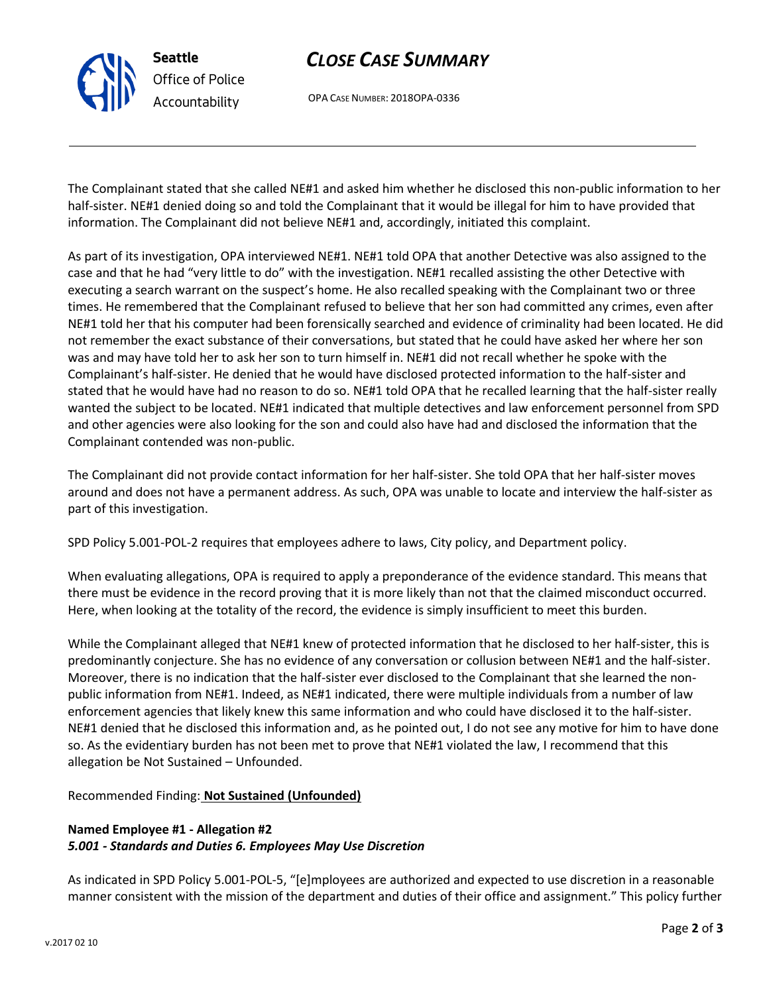

**Seattle** *Office of Police Accountability*

# *CLOSE CASE SUMMARY*

OPA CASE NUMBER: 2018OPA-0336

The Complainant stated that she called NE#1 and asked him whether he disclosed this non-public information to her half-sister. NE#1 denied doing so and told the Complainant that it would be illegal for him to have provided that information. The Complainant did not believe NE#1 and, accordingly, initiated this complaint.

As part of its investigation, OPA interviewed NE#1. NE#1 told OPA that another Detective was also assigned to the case and that he had "very little to do" with the investigation. NE#1 recalled assisting the other Detective with executing a search warrant on the suspect's home. He also recalled speaking with the Complainant two or three times. He remembered that the Complainant refused to believe that her son had committed any crimes, even after NE#1 told her that his computer had been forensically searched and evidence of criminality had been located. He did not remember the exact substance of their conversations, but stated that he could have asked her where her son was and may have told her to ask her son to turn himself in. NE#1 did not recall whether he spoke with the Complainant's half-sister. He denied that he would have disclosed protected information to the half-sister and stated that he would have had no reason to do so. NE#1 told OPA that he recalled learning that the half-sister really wanted the subject to be located. NE#1 indicated that multiple detectives and law enforcement personnel from SPD and other agencies were also looking for the son and could also have had and disclosed the information that the Complainant contended was non-public.

The Complainant did not provide contact information for her half-sister. She told OPA that her half-sister moves around and does not have a permanent address. As such, OPA was unable to locate and interview the half-sister as part of this investigation.

SPD Policy 5.001-POL-2 requires that employees adhere to laws, City policy, and Department policy.

When evaluating allegations, OPA is required to apply a preponderance of the evidence standard. This means that there must be evidence in the record proving that it is more likely than not that the claimed misconduct occurred. Here, when looking at the totality of the record, the evidence is simply insufficient to meet this burden.

While the Complainant alleged that NE#1 knew of protected information that he disclosed to her half-sister, this is predominantly conjecture. She has no evidence of any conversation or collusion between NE#1 and the half-sister. Moreover, there is no indication that the half-sister ever disclosed to the Complainant that she learned the nonpublic information from NE#1. Indeed, as NE#1 indicated, there were multiple individuals from a number of law enforcement agencies that likely knew this same information and who could have disclosed it to the half-sister. NE#1 denied that he disclosed this information and, as he pointed out, I do not see any motive for him to have done so. As the evidentiary burden has not been met to prove that NE#1 violated the law, I recommend that this allegation be Not Sustained – Unfounded.

Recommended Finding: **Not Sustained (Unfounded)**

### **Named Employee #1 - Allegation #2** *5.001 - Standards and Duties 6. Employees May Use Discretion*

As indicated in SPD Policy 5.001-POL-5, "[e]mployees are authorized and expected to use discretion in a reasonable manner consistent with the mission of the department and duties of their office and assignment." This policy further